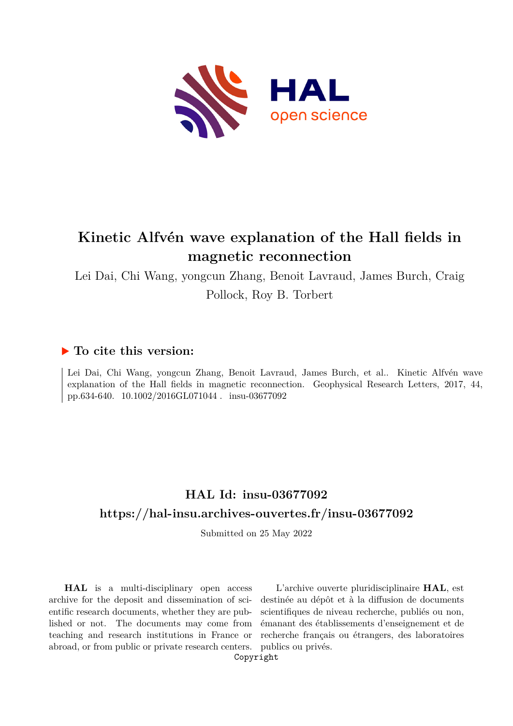

# **Kinetic Alfvén wave explanation of the Hall fields in magnetic reconnection**

Lei Dai, Chi Wang, yongcun Zhang, Benoit Lavraud, James Burch, Craig Pollock, Roy B. Torbert

## **To cite this version:**

Lei Dai, Chi Wang, yongcun Zhang, Benoit Lavraud, James Burch, et al.. Kinetic Alfvén wave explanation of the Hall fields in magnetic reconnection. Geophysical Research Letters, 2017, 44, pp.634-640. 10.1002/2016GL071044. insu-03677092

# **HAL Id: insu-03677092 <https://hal-insu.archives-ouvertes.fr/insu-03677092>**

Submitted on 25 May 2022

**HAL** is a multi-disciplinary open access archive for the deposit and dissemination of scientific research documents, whether they are published or not. The documents may come from teaching and research institutions in France or abroad, or from public or private research centers.

L'archive ouverte pluridisciplinaire **HAL**, est destinée au dépôt et à la diffusion de documents scientifiques de niveau recherche, publiés ou non, émanant des établissements d'enseignement et de recherche français ou étrangers, des laboratoires publics ou privés.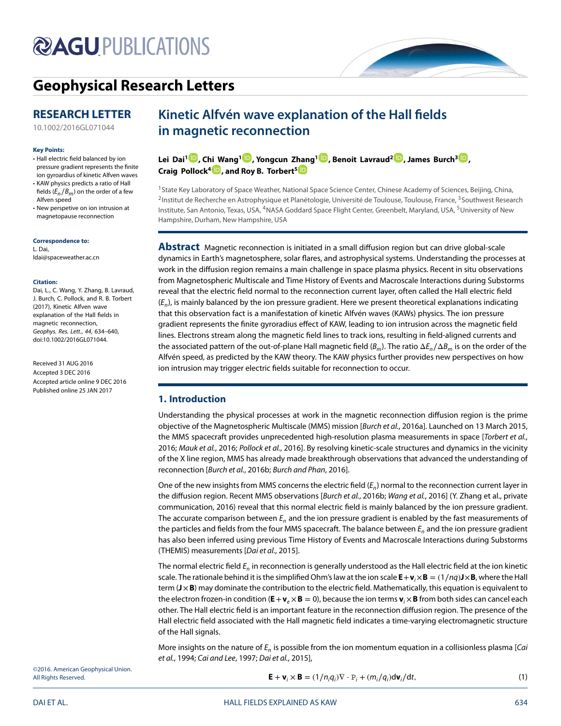# **@AGUPUBLICATIONS**

## **[Geophysical Research Letters](http://onlinelibrary.wiley.com/journal/10.1002/(ISSN)1944-8007)**

## **RESEARCH LETTER**

[10.1002/2016GL071044](http://dx.doi.org/10.1002/2016GL071044)

#### **Key Points:**

- Hall electric field balanced by ion pressure gradient represents the finite ion gyroardius of kinetic Alfven waves • KAW physics predicts a ratio of Hall
- fields  $(E_n/B_m)$  on the order of a few Alfven speed
- New perspetive on ion intrusion at magnetopause reconnection

**Correspondence to:** L. Dai,

ldai@spaceweather.ac.cn

#### **Citation:**

Dai, L., C. Wang, Y. Zhang, B. Lavraud, J. Burch, C. Pollock, and R. B. Torbert (2017), Kinetic Alfven wave explanation of the Hall fields in magnetic reconnection, Geophys. Res. Lett., 44, 634–640, doi:10.1002/2016GL071044.

Received 31 AUG 2016 Accepted 3 DEC 2016 Accepted article online 9 DEC 2016 Published online 25 JAN 2017

## **Kinetic Alfvén wave explanation of the Hall fields in magnetic reconnection**

**Lei Dai1 [,](http://orcid.org/0000-0002-5122-3066) C[hi W](http://orcid.org/0000-0001-9228-6605)ang[1](http://orcid.org/0000-0001-6991-9398) , Yongcun Z[han](http://orcid.org/0000-0001-7188-8690)g1 [,](http://orcid.org/0000-0001-5721-8164) Benoit Lavraud2 [,](http://orcid.org/0000-0001-6807-8494) James Burch3 [,](http://orcid.org/0000-0003-0452-8403) Craig Pollock<sup>4</sup> , and Roy B. Torbert5**

<sup>1</sup> State Key Laboratory of Space Weather, National Space Science Center, Chinese Academy of Sciences, Beijing, China, <sup>2</sup>Institut de Recherche en Astrophysique et Planétologie, Université de Toulouse, Toulouse, France, <sup>3</sup>Southwest Research Institute, San Antonio, Texas, USA, 4NASA Goddard Space Flight Center, Greenbelt, Maryland, USA, 5University of New Hampshire, Durham, New Hampshire, USA

**Abstract** Magnetic reconnection is initiated in a small diffusion region but can drive global-scale dynamics in Earth's magnetosphere, solar flares, and astrophysical systems. Understanding the processes at work in the diffusion region remains a main challenge in space plasma physics. Recent in situ observations from Magnetospheric Multiscale and Time History of Events and Macroscale Interactions during Substorms reveal that the electric field normal to the reconnection current layer, often called the Hall electric field  $(E_n)$ , is mainly balanced by the ion pressure gradient. Here we present theoretical explanations indicating that this observation fact is a manifestation of kinetic Alfvén waves (KAWs) physics. The ion pressure gradient represents the finite gyroradius effect of KAW, leading to ion intrusion across the magnetic field lines. Electrons stream along the magnetic field lines to track ions, resulting in field-aligned currents and the associated pattern of the out-of-plane Hall magnetic field ( $B_m$ ). The ratio  $\Delta E_n/\Delta B_m$  is on the order of the Alfvén speed, as predicted by the KAW theory. The KAW physics further provides new perspectives on how ion intrusion may trigger electric fields suitable for reconnection to occur.

## **1. Introduction**

Understanding the physical processes at work in the magnetic reconnection diffusion region is the prime objective of the Magnetospheric Multiscale (MMS) mission [Burch et al., 2016a]. Launched on 13 March 2015, the MMS spacecraft provides unprecedented high-resolution plasma measurements in space [Torbert et al., 2016; Mauk et al., 2016; Pollock et al., 2016]. By resolving kinetic-scale structures and dynamics in the vicinity of the X line region, MMS has already made breakthrough observations that advanced the understanding of reconnection [Burch et al., 2016b; Burch and Phan, 2016].

One of the new insights from MMS concerns the electric field  $(E_n)$  normal to the reconnection current layer in the diffusion region. Recent MMS observations [Burch et al., 2016b; Wang et al., 2016] (Y. Zhang et al., private communication, 2016) reveal that this normal electric field is mainly balanced by the ion pressure gradient. The accurate comparison between  $E_n$  and the ion pressure gradient is enabled by the fast measurements of the particles and fields from the four MMS spacecraft. The balance between  $E_n$  and the ion pressure gradient has also been inferred using previous Time History of Events and Macroscale Interactions during Substorms (THEMIS) measurements [Dai et al., 2015].

The normal electric field  $E_n$  in reconnection is generally understood as the Hall electric field at the ion kinetic scale. The rationale behind it is the simplified Ohm's law at the ion scale  $E + v_i \times B = (1/nq)J \times B$ , where the Hall term (**J**×**B**) may dominate the contribution to the electric field. Mathematically, this equation is equivalent to the electron frozen-in condition ( $E + v_e \times B = 0$ ), because the ion terms  $v_i \times B$  from both sides can cancel each other. The Hall electric field is an important feature in the reconnection diffusion region. The presence of the Hall electric field associated with the Hall magnetic field indicates a time-varying electromagnetic structure of the Hall signals.

More insights on the nature of  $E_n$  is possible from the ion momentum equation in a collisionless plasma [*Cai* et al., 1994; Cai and Lee, 1997; Dai et al., 2015],

©2016. American Geophysical Union. All Rights Reserved.

$$
\mathbf{E} + \mathbf{v}_i \times \mathbf{B} = (1/n_i q_i) \nabla \cdot P_i + (m_i/q_i) d\mathbf{v}_i / dt,
$$
\n(1)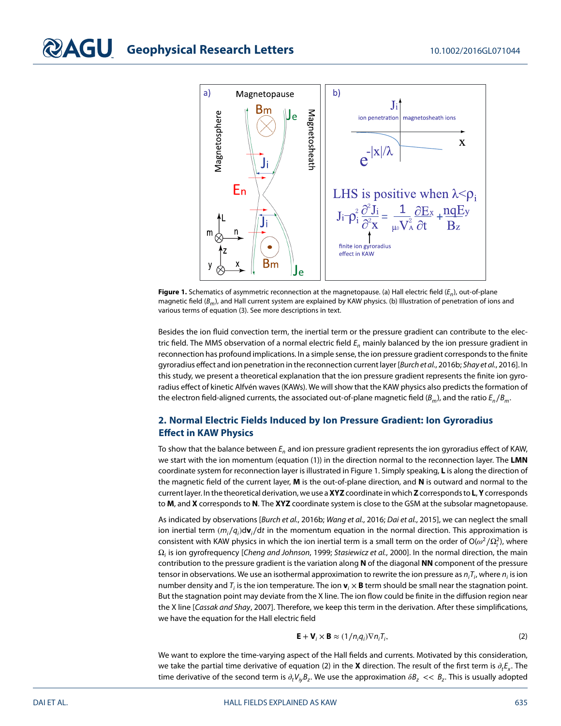

**Figure 1.** Schematics of asymmetric reconnection at the magnetopause. (a) Hall electric field  $(E_n)$ , out-of-plane magnetic field ( $B_m$ ), and Hall current system are explained by KAW physics. (b) Illustration of penetration of ions and various terms of equation (3). See more descriptions in text.

Besides the ion fluid convection term, the inertial term or the pressure gradient can contribute to the electric field. The MMS observation of a normal electric field  $E_n$  mainly balanced by the ion pressure gradient in reconnection has profound implications. In a simple sense, the ion pressure gradient corresponds to the finite gyroradius effect and ion penetration in the reconnection current layer [Burch et al., 2016b; Shay et al., 2016]. In this study, we present a theoretical explanation that the ion pressure gradient represents the finite ion gyroradius effect of kinetic Alfvén waves (KAWs). We will show that the KAW physics also predicts the formation of the electron field-aligned currents, the associated out-of-plane magnetic field ( $B_m$ ), and the ratio  $E_n/B_m$ .

## **2. Normal Electric Fields Induced by Ion Pressure Gradient: Ion Gyroradius Effect in KAW Physics**

To show that the balance between  $E_n$  and ion pressure gradient represents the ion gyroradius effect of KAW, we start with the ion momentum (equation (1)) in the direction normal to the reconnection layer. The **LMN** coordinate system for reconnection layer is illustrated in Figure 1. Simply speaking, **L** is along the direction of the magnetic field of the current layer, **M** is the out-of-plane direction, and **N** is outward and normal to the current layer. In the theoretical derivation, we use a**XYZ**coordinate in which**Z**corresponds to **L**,**Y**corresponds to **M**, and **X** corresponds to **N**. The **XYZ** coordinate system is close to the GSM at the subsolar magnetopause.

As indicated by observations [Burch et al., 2016b; Wang et al., 2016; Dai et al., 2015], we can neglect the small ion inertial term  $(m_i/q_i)$ d**v**<sub>i</sub>/dt in the momentum equation in the normal direction. This approximation is consistent with KAW physics in which the ion inertial term is a small term on the order of O( $\omega^2/\Omega^2_i$ ), where  $\Omega_i$  is ion gyrofrequency [Cheng and Johnson, 1999; Stasiewicz et al., 2000]. In the normal direction, the main contribution to the pressure gradient is the variation along **N** of the diagonal **NN** component of the pressure tensor in observations. We use an isothermal approximation to rewrite the ion pressure as  $n_iT_i$ , where  $n_i$  is ion number density and  $T_i$  is the ion temperature. The ion  $\mathbf{v}_i \times \mathbf{B}$  term should be small near the stagnation point. But the stagnation point may deviate from the X line. The ion flow could be finite in the diffusion region near the X line [Cassak and Shay, 2007]. Therefore, we keep this term in the derivation. After these simplifications, we have the equation for the Hall electric field

$$
\mathbf{E} + \mathbf{V}_i \times \mathbf{B} \approx (1/n_i q_i) \nabla n_i T_i,
$$
 (2)

We want to explore the time-varying aspect of the Hall fields and currents. Motivated by this consideration, we take the partial time derivative of equation (2) in the **X** direction. The result of the first term is  $\partial_t E_x$ . The time derivative of the second term is  $\partial_t V_{iv}B_z$ . We use the approximation  $\delta B_z \ll B_z$ . This is usually adopted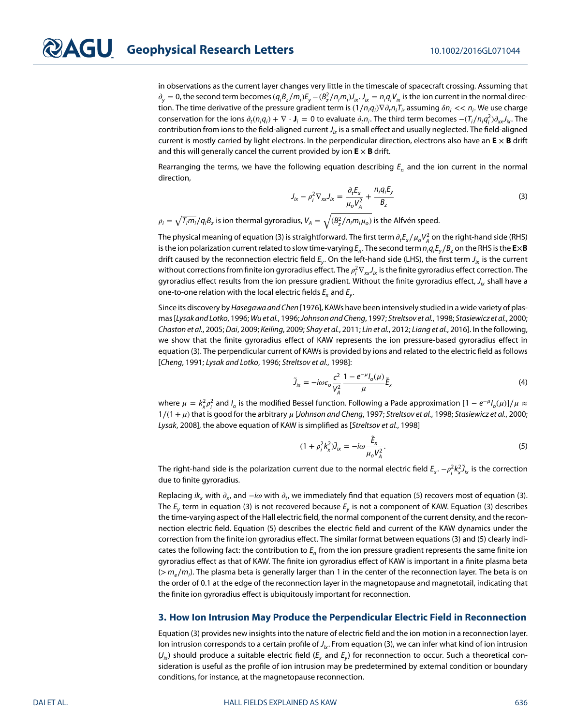in observations as the current layer changes very little in the timescale of spacecraft crossing. Assuming that  $\partial_y=0$ , the second term becomes  $(q_iB_z/m_i)E_y-(B_z^2/n_im_i)J_{ix}.J_{ix}=n_iq_iV_{ix}$  is the ion current in the normal direction. The time derivative of the pressure gradient term is  $(1/n_iq_i)\nabla\partial_t n_iT_i$ , assuming  $\delta n_i<< n_i.$  We use charge conservation for the ions  $\partial_t(n_iq_i) + \nabla \cdot \mathbf{J}_i = 0$  to evaluate  $\partial_t n_i$ . The third term becomes  $-(T_i/n_iq_i^2)\partial_{xx}J_{ix}$ . The contribution from ions to the field-aligned current  $J_i$  is a small effect and usually neglected. The field-aligned current is mostly carried by light electrons. In the perpendicular direction, electrons also have an **E** × **B** drift and this will generally cancel the current provided by ion  $E \times B$  drift.

Rearranging the terms, we have the following equation describing  $E_n$  and the ion current in the normal direction,

$$
J_{ix} - \rho_i^2 \nabla_{xx} J_{ix} = \frac{\partial_t E_x}{\mu_o V_A^2} + \frac{n_i q_i E_y}{B_z}
$$
 (3)

 $\rho_i = \sqrt{ T_i m_i} / q_i B_z$  is ion thermal gyroradius,  $V_A = \sqrt{ (B_2^2/n_i m_i \mu_o)}$  is the Alfvén speed.

The physical meaning of equation (3) is straightforward. The first term  $\partial_t E_x/\mu_o V_A^2$  on the right-hand side (RHS) is the ion polarization current related to slow time-varying  $E_n.$  The second term  $n_i q_i E_y/B_z$  on the RHS is the  ${\sf ExB}$ drift caused by the reconnection electric field  $E_y$ . On the left-hand side (LHS), the first term  $J_{ix}$  is the current without corrections from finite ion gyroradius effect. The  $\rho^2_i\nabla_{xx}J_{ix}$  is the finite gyroradius effect correction. The gyroradius effect results from the ion pressure gradient. Without the finite gyroradius effect,  $J_{ix}$  shall have a one-to-one relation with the local electric fields  $E_x$  and  $E_y$ .

Since its discovery by Hasegawa and Chen [1976], KAWs have been intensively studied in a wide variety of plasmas [Lysak and Lotko, 1996; Wu et al., 1996; Johnson and Cheng, 1997; Streltsov et al., 1998; Stasiewicz et al., 2000; Chaston et al., 2005; Dai, 2009; Keiling, 2009; Shay et al., 2011; Lin et al., 2012; Liang et al., 2016]. In the following, we show that the finite gyroradius effect of KAW represents the ion pressure-based gyroradius effect in equation (3). The perpendicular current of KAWs is provided by ions and related to the electric field as follows [Cheng, 1991; Lysak and Lotko, 1996; Streltsov et al., 1998]:

$$
\tilde{J}_{ix} = -i\omega \varepsilon_o \frac{\zeta^2}{V_A^2} \frac{1 - e^{-\mu} I_o(\mu)}{\mu} \tilde{E}_x
$$
\n(4)

where  $\mu = k_x^2 \rho_i^2$  and  $l_o$  is the modified Bessel function. Following a Pade approximation  $[1 - e^{-\mu}l_o(\mu)]/\mu \approx$  $1/(1+\mu)$  that is good for the arbitrary  $\mu$  [Johnson and Cheng, 1997; Streltsov et al., 1998; Stasiewicz et al., 2000; Lysak, 2008], the above equation of KAW is simplified as [Streltsov et al., 1998]

$$
(1+\rho_i^2 k_x^2)\tilde{J}_{ix} = -i\omega \frac{\tilde{E}_x}{\mu_o V_A^2}.
$$
\n(5)

The right-hand side is the polarization current due to the normal electric field  $E_x$ .  $-\rho^2_jk_x^2\tilde{J}_{ix}$  is the correction due to finite gyroradius.

Replacing ik<sub>x</sub> with  $\partial_x$ , and  $-i\omega$  with  $\partial_t$ , we immediately find that equation (5) recovers most of equation (3). The  $E_v$  term in equation (3) is not recovered because  $E_v$  is not a component of KAW. Equation (3) describes the time-varying aspect of the Hall electric field, the normal component of the current density, and the reconnection electric field. Equation (5) describes the electric field and current of the KAW dynamics under the correction from the finite ion gyroradius effect. The similar format between equations (3) and (5) clearly indicates the following fact: the contribution to  $E<sub>n</sub>$  from the ion pressure gradient represents the same finite ion gyroradius effect as that of KAW. The finite ion gyroradius effect of KAW is important in a finite plasma beta (> m<sub>e</sub>/m<sub>i</sub>). The plasma beta is generally larger than 1 in the center of the reconnection layer. The beta is on the order of 0.1 at the edge of the reconnection layer in the magnetopause and magnetotail, indicating that the finite ion gyroradius effect is ubiquitously important for reconnection.

#### **3. How Ion Intrusion May Produce the Perpendicular Electric Field in Reconnection**

Equation (3) provides new insights into the nature of electric field and the ion motion in a reconnection layer. Ion intrusion corresponds to a certain profile of  $J_{ik}$ . From equation (3), we can infer what kind of ion intrusion  $(J_{ik})$  should produce a suitable electric field ( $E_x$  and  $E_y$ ) for reconnection to occur. Such a theoretical consideration is useful as the profile of ion intrusion may be predetermined by external condition or boundary conditions, for instance, at the magnetopause reconnection.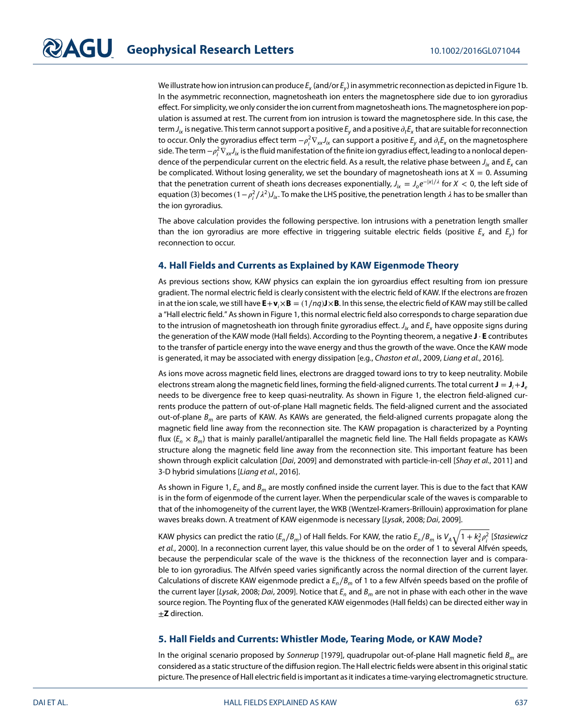We illustrate how ion intrusion can produce  $E_x$  (and/or  $E_y$ ) in asymmetric reconnection as depicted in Figure 1b. In the asymmetric reconnection, magnetosheath ion enters the magnetosphere side due to ion gyroradius effect. For simplicity, we only consider the ion current from magnetosheath ions. The magnetosphere ion population is assumed at rest. The current from ion intrusion is toward the magnetosphere side. In this case, the term  $J_{ik}$  is negative. This term cannot support a positive  $E_v$  and a positive  $\partial_t E_x$  that are suitable for reconnection to occur. Only the gyroradius effect term  $-\rho^2_i\nabla_\text{xx}J_{i\text{x}}$  can support a positive  $E_y$  and  $\partial_t E_\text{x}$  on the magnetosphere side. The term  $-\rho^2_j\nabla_{xx}J_{ix}$  is the fluid manifestation of the finite ion gyradius effect, leading to a nonlocal dependence of the perpendicular current on the electric field. As a result, the relative phase between  $J_{i_x}$  and  $E_x$  can be complicated. Without losing generality, we set the boundary of magnetosheath ions at  $X = 0$ . Assuming that the penetration current of sheath ions decreases exponentially,  $J_{ik} = J_0 e^{-|x|/\lambda}$  for  $X < 0$ , the left side of equation (3) becomes (1 –  $\rho_j^2/\lambda^2$ ) $J_{ix}$ . To make the LHS positive, the penetration length  $\lambda$  has to be smaller than the ion gyroradius.

The above calculation provides the following perspective. Ion intrusions with a penetration length smaller than the ion gyroradius are more effective in triggering suitable electric fields (positive  $E<sub>x</sub>$  and  $E<sub>y</sub>$ ) for reconnection to occur.

#### **4. Hall Fields and Currents as Explained by KAW Eigenmode Theory**

As previous sections show, KAW physics can explain the ion gyroardius effect resulting from ion pressure gradient. The normal electric field is clearly consistent with the electric field of KAW. If the electrons are frozen in at the ion scale, we still have  $E + v_i \times B = (1/nq)J \times B$ . In this sense, the electric field of KAW may still be called a "Hall electric field." As shown in Figure 1, this normal electric field also corresponds to charge separation due to the intrusion of magnetosheath ion through finite gyroradius effect.  $J_i$  and  $E_r$  have opposite signs during the generation of the KAW mode (Hall fields). According to the Poynting theorem, a negative **J** ⋅ **E** contributes to the transfer of particle energy into the wave energy and thus the growth of the wave. Once the KAW mode is generated, it may be associated with energy dissipation [e.g., Chaston et al., 2009, Liang et al., 2016].

As ions move across magnetic field lines, electrons are dragged toward ions to try to keep neutrality. Mobile electrons stream along the magnetic field lines, forming the field-aligned currents. The total current  $J = J_i + J_e$ needs to be divergence free to keep quasi-neutrality. As shown in Figure 1, the electron field-aligned currents produce the pattern of out-of-plane Hall magnetic fields. The field-aligned current and the associated out-of-plane  $B_m$  are parts of KAW. As KAWs are generated, the field-aligned currents propagate along the magnetic field line away from the reconnection site. The KAW propagation is characterized by a Poynting flux  $(E_n \times B_m)$  that is mainly parallel/antiparallel the magnetic field line. The Hall fields propagate as KAWs structure along the magnetic field line away from the reconnection site. This important feature has been shown through explicit calculation [Dai, 2009] and demonstrated with particle-in-cell [Shay et al., 2011] and 3-D hybrid simulations [Liang et al., 2016].

As shown in Figure 1,  $E_n$  and  $B_m$  are mostly confined inside the current layer. This is due to the fact that KAW is in the form of eigenmode of the current layer. When the perpendicular scale of the waves is comparable to that of the inhomogeneity of the current layer, the WKB (Wentzel-Kramers-Brillouin) approximation for plane waves breaks down. A treatment of KAW eigenmode is necessary [Lysak, 2008; Dai, 2009].

KAW physics can predict the ratio ( $E_n/B_m$ ) of Hall fields. For KAW, the ratio  $E_n/B_m$  is  $V_A\sqrt{1+k^2_\chi\rho^2_i}$  [S*tasiewicz* et al., 2000]. In a reconnection current layer, this value should be on the order of 1 to several Alfvén speeds, because the perpendicular scale of the wave is the thickness of the reconnection layer and is comparable to ion gyroradius. The Alfvén speed varies significantly across the normal direction of the current layer. Calculations of discrete KAW eigenmode predict a  $E_n/B_m$  of 1 to a few Alfvén speeds based on the profile of the current layer [Lysak, 2008; Dai, 2009]. Notice that  $E_n$  and  $B_m$  are not in phase with each other in the wave source region. The Poynting flux of the generated KAW eigenmodes (Hall fields) can be directed either way in ±**Z** direction.

#### **5. Hall Fields and Currents: Whistler Mode, Tearing Mode, or KAW Mode?**

In the original scenario proposed by Sonnerup [1979], quadrupolar out-of-plane Hall magnetic field  $B<sub>m</sub>$  are considered as a static structure of the diffusion region. The Hall electric fields were absent in this original static picture. The presence of Hall electric field is important as it indicates a time-varying electromagnetic structure.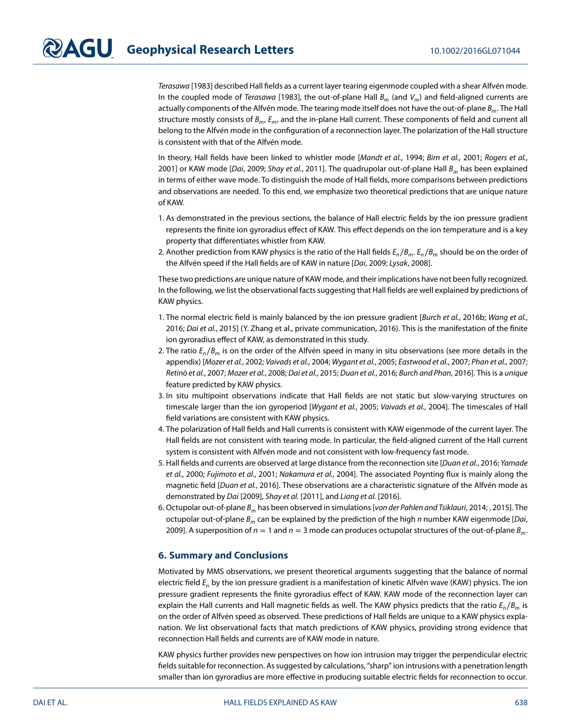Terasawa [1983] described Hall fields as a current layer tearing eigenmode coupled with a shear Alfvén mode. In the coupled mode of Terasawa [1983], the out-of-plane Hall  $B_m$  (and  $V_m$ ) and field-aligned currents are actually components of the Alfvén mode. The tearing mode itself does not have the out-of-plane B<sub>m</sub>. The Hall structure mostly consists of  $B_m$ ,  $E_m$ , and the in-plane Hall current. These components of field and current all belong to the Alfvén mode in the configuration of a reconnection layer. The polarization of the Hall structure is consistent with that of the Alfvén mode.

In theory, Hall fields have been linked to whistler mode [Mandt et al., 1994; Birn et al., 2001; Rogers et al., 2001] or KAW mode [Dai, 2009; Shay et al., 2011]. The quadrupolar out-of-plane Hall  $B<sub>m</sub>$  has been explained in terms of either wave mode. To distinguish the mode of Hall fields, more comparisons between predictions and observations are needed. To this end, we emphasize two theoretical predictions that are unique nature of KAW.

- 1. As demonstrated in the previous sections, the balance of Hall electric fields by the ion pressure gradient represents the finite ion gyroradius effect of KAW. This effect depends on the ion temperature and is a key property that differentiates whistler from KAW.
- 2. Another prediction from KAW physics is the ratio of the Hall fields  $E_n/B_m$ .  $E_n/B_m$  should be on the order of the Alfvén speed if the Hall fields are of KAW in nature [Dai, 2009; Lysak, 2008].

These two predictions are unique nature of KAW mode, and their implications have not been fully recognized. In the following, we list the observational facts suggesting that Hall fields are well explained by predictions of KAW physics.

- 1. The normal electric field is mainly balanced by the ion pressure gradient [Burch et al., 2016b; Wang et al., 2016; Dai et al., 2015] (Y. Zhang et al., private communication, 2016). This is the manifestation of the finite ion gyroradius effect of KAW, as demonstrated in this study.
- 2. The ratio  $E_n/B_m$  is on the order of the Alfvén speed in many in situ observations (see more details in the appendix) [Mozer et al., 2002; Vaivads et al., 2004; Wygant et al., 2005; Eastwood et al., 2007; Phan et al., 2007; Retinò et al., 2007; Mozer et al., 2008; Dai et al., 2015; Duan et al., 2016; Burch and Phan, 2016]. This is a unique feature predicted by KAW physics.
- 3. In situ multipoint observations indicate that Hall fields are not static but slow-varying structures on timescale larger than the ion gyroperiod [Wygant et al., 2005; Vaivads et al., 2004]. The timescales of Hall field variations are consistent with KAW physics.
- 4. The polarization of Hall fields and Hall currents is consistent with KAW eigenmode of the current layer. The Hall fields are not consistent with tearing mode. In particular, the field-aligned current of the Hall current system is consistent with Alfvén mode and not consistent with low-frequency fast mode.
- 5. Hall fields and currents are observed at large distance from the reconnection site [Duan et al., 2016; Yamade et al., 2000; Fujimoto et al., 2001; Nakamura et al., 2004]. The associated Poynting flux is mainly along the magnetic field [Duan et al., 2016]. These observations are a characteristic signature of the Alfvén mode as demonstrated by Dai [2009], Shay et al. [2011], and Liang et al. [2016].
- 6. Octupolar out-of-plane  $B_m$  has been observed in simulations [von der Pahlen and Tsiklauri, 2014; , 2015]. The octupolar out-of-plane  $B_m$  can be explained by the prediction of the high n number KAW eigenmode [*Dai*, 2009]. A superposition of  $n = 1$  and  $n = 3$  mode can produces octupolar structures of the out-of-plane  $B_m$ .

#### **6. Summary and Conclusions**

Motivated by MMS observations, we present theoretical arguments suggesting that the balance of normal electric field  $E_n$  by the ion pressure gradient is a manifestation of kinetic Alfvén wave (KAW) physics. The ion pressure gradient represents the finite gyroradius effect of KAW. KAW mode of the reconnection layer can explain the Hall currents and Hall magnetic fields as well. The KAW physics predicts that the ratio  $E_n/B_m$  is on the order of Alfvén speed as observed. These predictions of Hall fields are unique to a KAW physics explanation. We list observational facts that match predictions of KAW physics, providing strong evidence that reconnection Hall fields and currents are of KAW mode in nature.

KAW physics further provides new perspectives on how ion intrusion may trigger the perpendicular electric fields suitable for reconnection. As suggested by calculations, "sharp" ion intrusions with a penetration length smaller than ion gyroradius are more effective in producing suitable electric fields for reconnection to occur.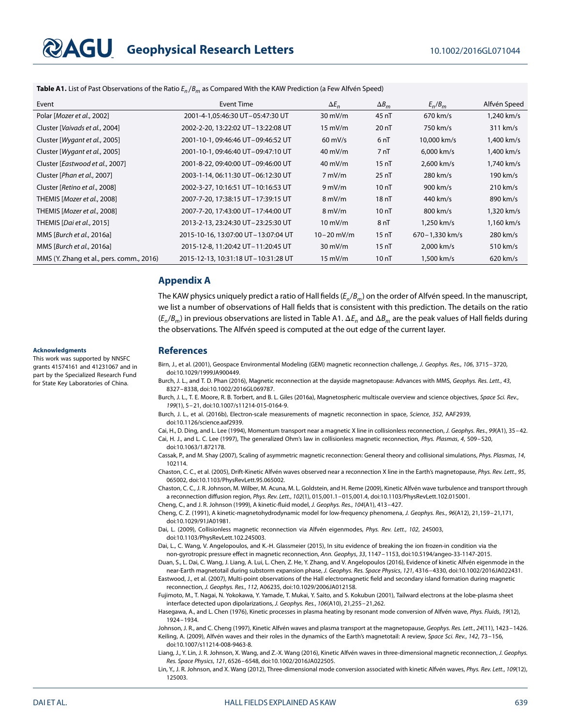# **GU** Geophysical Research Letters 10.1002/2016GL071044

**Table A1.** List of Past Observations of the Ratio  $E_n/B_m$  as Compared With the KAW Prediction (a Few Alfvén Speed)

| Event                                     | Event Time                          | $\Delta E_n$      | $\Delta B_m$     | $E_n/B_m$      | Alfvén Speed       |
|-------------------------------------------|-------------------------------------|-------------------|------------------|----------------|--------------------|
| Polar [ <i>Mozer et al.</i> , 2002]       | 2001-4-1,05:46:30 UT-05:47:30 UT    | $30 \text{ mV/m}$ | 45 nT            | $670$ km/s     | 1.240 km/s         |
| Cluster [Vaivads et al., 2004]            | 2002-2-20, 13:22:02 UT-13:22:08 UT  | $15 \text{ mV/m}$ | 20 <sub>nT</sub> | 750 km/s       | 311 km/s           |
| Cluster [Wygant et al., 2005]             | 2001-10-1, 09:46:46 UT-09:46:52 UT  | $60 \text{ mV/s}$ | 6 <sub>nT</sub>  | 10,000 km/s    | 1,400 km/s         |
| Cluster [Wygant et al., 2005]             | 2001-10-1, 09:46:40 UT-09:47:10 UT  | $40 \text{ mV/m}$ | 7 <sub>nT</sub>  | 6,000 km/s     | 1,400 km/s         |
| Cluster [Eastwood et al., 2007]           | 2001-8-22, 09:40:00 UT-09:46:00 UT  | $40 \text{ mV/m}$ | 15nT             | 2,600 km/s     | 1,740 km/s         |
| Cluster [ <i>Phan et al.</i> , 2007]      | 2003-1-14, 06:11:30 UT-06:12:30 UT  | $7 \text{ mV/m}$  | $25 \text{ nT}$  | 280 km/s       | 190 km/s           |
| Cluster [Retino et al., 2008]             | 2002-3-27, 10:16:51 UT-10:16:53 UT  | $9 \text{ mV/m}$  | 10nT             | 900 km/s       | $210 \text{ km/s}$ |
| THEMIS [Mozer et al., 2008]               | 2007-7-20, 17:38:15 UT-17:39:15 UT  | $8 \text{ mV/m}$  | 18nT             | 440 km/s       | 890 km/s           |
| THEMIS [Mozer et al., 2008]               | 2007-7-20, 17:43:00 UT-17:44:00 UT  | $8 \text{ mV/m}$  | 10nT             | 800 km/s       | 1,320 km/s         |
| <b>THEMIS</b> [ <i>Dai et al.</i> , 2015] | 2013-2-13, 23:24:30 UT-23:25:30 UT  | $10 \text{ mV/m}$ | 8 <sub>nT</sub>  | 1.250 km/s     | 1,160 km/s         |
| MMS [Burch et al., 2016a]                 | 2015-10-16, 13:07:00 UT-13:07:04 UT | $10 - 20$ mV/m    | 15 <sub>nT</sub> | 670-1,330 km/s | 280 km/s           |
| MMS [Burch et al., 2016a]                 | 2015-12-8, 11:20:42 UT-11:20:45 UT  | $30 \text{ mV/m}$ | 15 <sub>nT</sub> | 2,000 km/s     | $510 \text{ km/s}$ |
| MMS (Y. Zhang et al., pers. comm., 2016)  | 2015-12-13, 10:31:18 UT-10:31:28 UT | $15 \text{ mV/m}$ | 10 nT            | 1,500 km/s     | $620 \text{ km/s}$ |

### **Appendix A**

The KAW physics uniquely predict a ratio of Hall fields ( $E_n/B_m$ ) on the order of Alfvén speed. In the manuscript, we list a number of observations of Hall fields that is consistent with this prediction. The details on the ratio  $(E_n/B_m)$  in previous observations are listed in Table A1.  $\Delta E_n$  and  $\Delta B_m$  are the peak values of Hall fields during the observations. The Alfvén speed is computed at the out edge of the current layer.

#### **Acknowledgments**

This work was supported by NNSFC grants 41574161 and 41231067 and in part by the Specialized Research Fund for State Key Laboratories of China.

#### **References**

Birn, J., et al. (2001), Geospace Environmental Modeling (GEM) magnetic reconnection challenge, J. Geophys. Res., 106, 3715–3720, doi[:10.1029/1999JA900449.](http://dx.doi.org/10.1029/1999JA900449)

Burch, J. L., and T. D. Phan (2016), Magnetic reconnection at the dayside magnetopause: Advances with MMS, Geophys. Res. Lett., 43, 8327–8338, doi[:10.1002/2016GL069787.](http://dx.doi.org/10.1002/2016GL069787)

Burch, J. L., T. E. Moore, R. B. Torbert, and B. L. Giles (2016a), Magnetospheric multiscale overview and science objectives, Space Sci. Rev., 199(1), 5–21, doi[:10.1007/s11214-015-0164-9.](http://dx.doi.org/10.1007/s11214-015-0164-9)

Burch, J. L., et al. (2016b), Electron-scale measurements of magnetic reconnection in space, Science, 352, AAF2939, doi[:10.1126/science.aaf2939.](http://dx.doi.org/10.1126/science.aaf2939)

Cai, H., D. Ding, and L. Lee (1994), Momentum transport near a magnetic X line in collisionless reconnection, J. Geophys. Res., 99(A1), 35-42. Cai, H. J., and L. C. Lee (1997), The generalized Ohm's law in collisionless magnetic reconnection, Phys. Plasmas, 4, 509–520,

doi[:10.1063/1.872178.](http://dx.doi.org/10.1063/1.872178)

Cassak, P., and M. Shay (2007), Scaling of asymmetric magnetic reconnection: General theory and collisional simulations, Phys. Plasmas, 14, 102114.

Chaston, C. C., et al. (2005), Drift-Kinetic Alfvén waves observed near a reconnection X line in the Earth's magnetopause, Phys. Rev. Lett., 95, 065002, doi[:10.1103/PhysRevLett.95.065002.](http://dx.doi.org/10.1103/PhysRevLett.95.065002)

Chaston, C. C., J. R. Johnson, M. Wilber, M. Acuna, M. L. Goldstein, and H. Reme (2009), Kinetic Alfvén wave turbulence and transport through a reconnection diffusion region, Phys. Rev. Lett., 102(1), 015,001.1–015,001.4, doi[:10.1103/PhysRevLett.102.015001.](http://dx.doi.org/10.1103/PhysRevLett.102.015001)

Cheng, C., and J. R. Johnson (1999), A kinetic-fluid model, J. Geophys. Res., 104(A1), 413–427.

Cheng, C. Z. (1991), A kinetic-magnetohydrodynamic model for low-frequency phenomena, J. Geophys. Res., 96(A12), 21,159–21,171, doi[:10.1029/91JA01981.](http://dx.doi.org/10.1029/91JA01981)

Dai, L. (2009), Collisionless magnetic reconnection via Alfvén eigenmodes, Phys. Rev. Lett., 102, 245003, doi[:10.1103/PhysRevLett.102.245003.](http://dx.doi.org/10.1103/PhysRevLett.102.245003)

Dai, L., C. Wang, V. Angelopoulos, and K.-H. Glassmeier (2015), In situ evidence of breaking the ion frozen-in condition via the non-gyrotropic pressure effect in magnetic reconnection, Ann. Geophys, 33, 1147–1153, doi[:10.5194/angeo-33-1147-2015.](http://dx.doi.org/10.5194/angeo-33-1147-2015)

Duan, S., L. Dai, C. Wang, J. Liang, A. Lui, L. Chen, Z. He, Y. Zhang, and V. Angelopoulos (2016), Evidence of kinetic Alfvén eigenmode in the near-Earth magnetotail during substorm expansion phase, J. Geophys. Res. Space Physics, 121, 4316–4330, doi[:10.1002/2016JA022431.](http://dx.doi.org/10.1002/2016JA022431)

Eastwood, J., et al. (2007), Multi-point observations of the Hall electromagnetic field and secondary island formation during magnetic reconnection, J. Geophys. Res., 112, A06235, doi[:10.1029/2006JA012158.](http://dx.doi.org/10.1029/2006JA012158)

Fujimoto, M., T. Nagai, N. Yokokawa, Y. Yamade, T. Mukai, Y. Saito, and S. Kokubun (2001), Tailward electrons at the lobe-plasma sheet interface detected upon dipolarizations, J. Geophys. Res., 106(A10), 21,255–21,262.

Hasegawa, A., and L. Chen (1976), Kinetic processes in plasma heating by resonant mode conversion of Alfvén wave, Phys. Fluids, 19(12), 1924–1934.

Johnson, J. R., and C. Cheng (1997), Kinetic Alfvén waves and plasma transport at the magnetopause, Geophys. Res. Lett., 24(11), 1423-1426. Keiling, A. (2009), Alfvén waves and their roles in the dynamics of the Earth's magnetotail: A review, Space Sci. Rev., 142, 73-156, doi[:10.1007/s11214-008-9463-8.](http://dx.doi.org/10.1007/s11214-008-9463-8)

Liang, J., Y. Lin, J. R. Johnson, X. Wang, and Z.-X. Wang (2016), Kinetic Alfvén waves in three-dimensional magnetic reconnection, J. Geophys. Res. Space Physics, 121, 6526–6548, doi[:10.1002/2016JA022505.](http://dx.doi.org/10.1002/2016JA022505)

Lin, Y., J. R. Johnson, and X. Wang (2012), Three-dimensional mode conversion associated with kinetic Alfvén waves, Phys. Rev. Lett., 109(12), 125003.